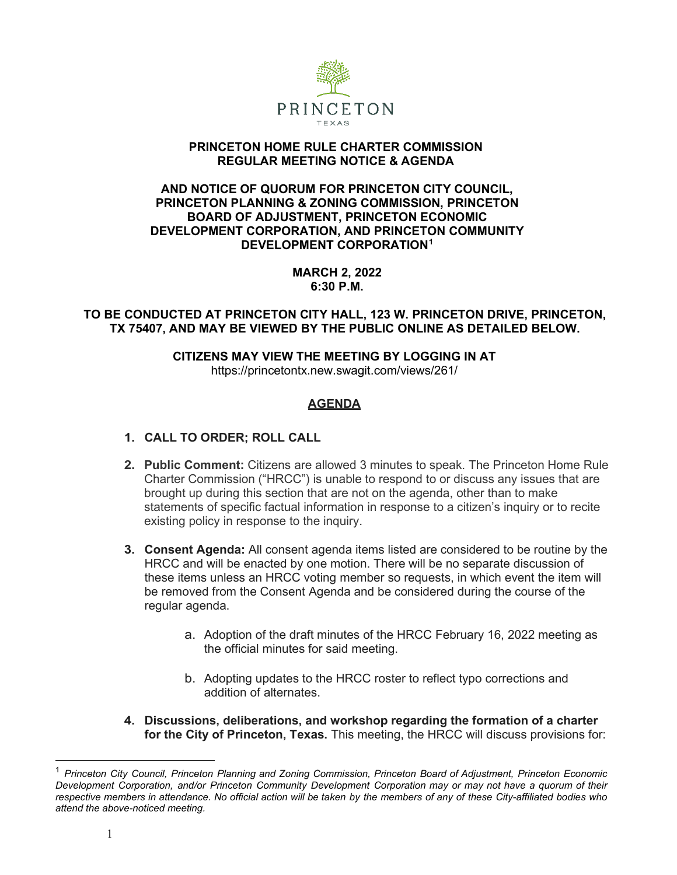

#### **PRINCETON HOME RULE CHARTER COMMISSION REGULAR MEETING NOTICE & AGENDA**

#### **AND NOTICE OF QUORUM FOR PRINCETON CITY COUNCIL, PRINCETON PLANNING & ZONING COMMISSION, PRINCETON BOARD OF ADJUSTMENT, PRINCETON ECONOMIC DEVELOPMENT CORPORATION, AND PRINCETON COMMUNITY DEVELOPMENT CORPORATION[1](#page-0-0)**

**MARCH 2, 2022 6:30 P.M.**

**TO BE CONDUCTED AT PRINCETON CITY HALL, 123 W. PRINCETON DRIVE, PRINCETON, TX 75407, AND MAY BE VIEWED BY THE PUBLIC ONLINE AS DETAILED BELOW.**

# **CITIZENS MAY VIEW THE MEETING BY LOGGING IN AT**

https://princetontx.new.swagit.com/views/261/

# **AGENDA**

# **1. CALL TO ORDER; ROLL CALL**

- **2. Public Comment:** Citizens are allowed 3 minutes to speak. The Princeton Home Rule Charter Commission ("HRCC") is unable to respond to or discuss any issues that are brought up during this section that are not on the agenda, other than to make statements of specific factual information in response to a citizen's inquiry or to recite existing policy in response to the inquiry.
- **3. Consent Agenda:** All consent agenda items listed are considered to be routine by the HRCC and will be enacted by one motion. There will be no separate discussion of these items unless an HRCC voting member so requests, in which event the item will be removed from the Consent Agenda and be considered during the course of the regular agenda.
	- a. Adoption of the draft minutes of the HRCC February 16, 2022 meeting as the official minutes for said meeting.
	- b. Adopting updates to the HRCC roster to reflect typo corrections and addition of alternates.
- **4. Discussions, deliberations, and workshop regarding the formation of a charter for the City of Princeton, Texas.** This meeting, the HRCC will discuss provisions for:

<span id="page-0-0"></span><sup>1</sup> *Princeton City Council, Princeton Planning and Zoning Commission, Princeton Board of Adjustment, Princeton Economic Development Corporation, and/or Princeton Community Development Corporation may or may not have a quorum of their* respective members in attendance. No official action will be taken by the members of any of these City-affiliated bodies who *attend the above-noticed meeting.*